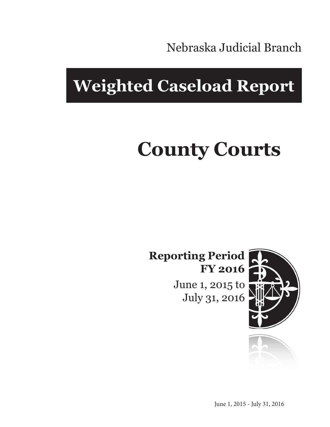Nebraska Judicial Branch

## **Weighted Caseload Report**

# **County Courts**

**Reporting Period FY 2016**

> June 1, 2015 to July 31, 2016



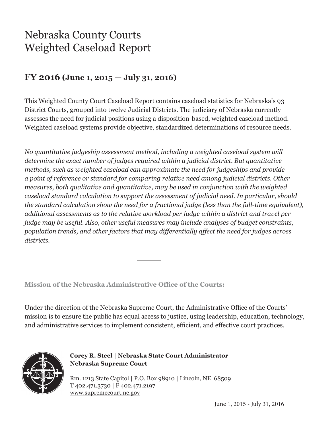### Nebraska County Courts Weighted Caseload Report

#### **FY 2016 (June 1, 2015 — July 31, 2016)**

This Weighted County Court Caseload Report contains caseload statistics for Nebraska's 93 District Courts, grouped into twelve Judicial Districts. The judiciary of Nebraska currently assesses the need for judicial positions using a disposition-based, weighted caseload method. Weighted caseload systems provide objective, standardized determinations of resource needs.

*No quantitative judgeship assessment method, including a weighted caseload system will determine the exact number of judges required within a judicial district. But quantitative methods, such as weighted caseload can approximate the need for judgeships and provide a point of reference or standard for comparing relative need among judicial districts. Other measures, both qualitative and quantitative, may be used in conjunction with the weighted caseload standard calculation to support the assessment of judicial need. In particular, should the standard calculation show the need for a fractional judge (less than the full-time equivalent), additional assessments as to the relative workload per judge within a district and travel per judge may be useful. Also, other useful measures may include analyses of budget constraints, population trends, and other factors that may differentially affect the need for judges across districts.*

**Mission of the Nebraska Administrative Office of the Courts:**

Under the direction of the Nebraska Supreme Court, the Administrative Office of the Courts' mission is to ensure the public has equal access to justice, using leadership, education, technology, and administrative services to implement consistent, efficient, and effective court practices.



**Corey R. Steel | Nebraska State Court Administrator Nebraska Supreme Court**

Rm. 1213 State Capitol | P.O. Box 98910 | Lincoln, NE 68509 T 402.471.3730 | F 402.471.2197 www.supremecourt.ne.gov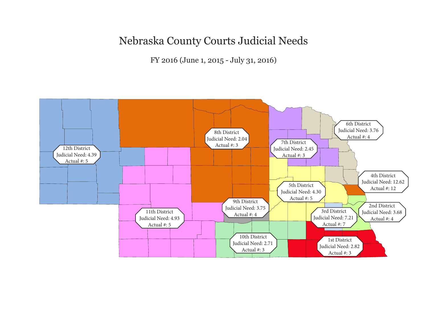#### Nebraska County Courts Judicial Needs

FY 2016 (June 1, 2015 - July 31, 2016)

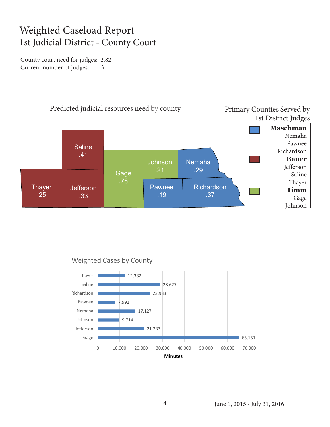#### Weighted Caseload Report 1st Judicial District - County Court

County court need for judges: 2.82 Current number of judges: 3



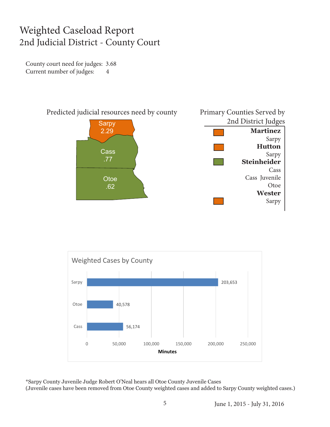#### Weighted Caseload Report 2nd Judicial District - County Court

County court need for judges: 3.68 Current number of judges: 4





\*Sarpy County Juvenile Judge Robert O'Neal hears all Otoe County Juvenile Cases (Juvenile cases have been removed from Otoe County weighted cases and added to Sarpy County weighted cases.)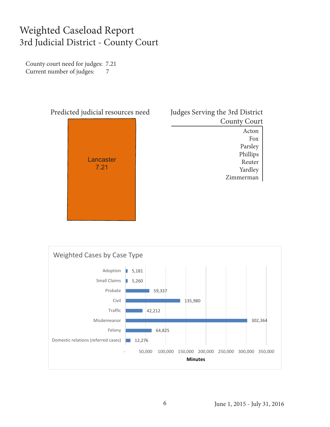#### Weighted Caseload Report 3rd Judicial District - County Court

County court need for judges: 7.21 Current number of judges: 7



| Judges Serving the 3rd District |
|---------------------------------|
| <b>County Court</b>             |
| Acton                           |
| Fox                             |
| Parsley                         |
| Phillips                        |
| Reuter                          |
| Yardley                         |
| merman<br>Zir                   |

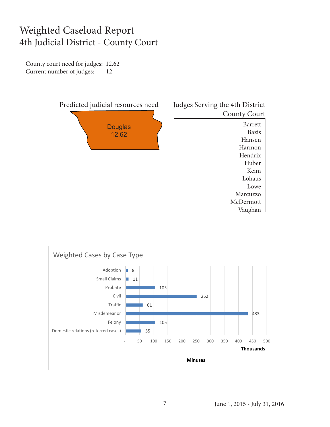#### Weighted Caseload Report 4th Judicial District - County Court

County court need for judges: 12.62 Current number of judges: 12



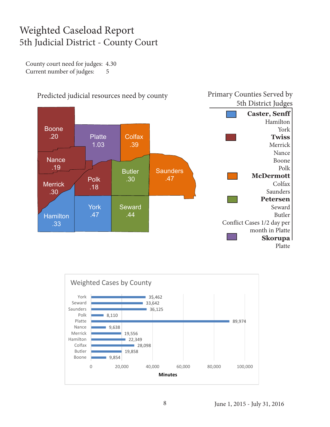#### Weighted Caseload Report 5th Judicial District - County Court

County court need for judges: 4.30 Current number of judges: 5



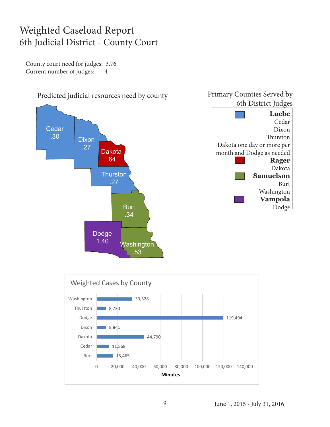#### Weighted Caseload Report 6th Judicial District - County Court

County court need for judges: 3.76 Current number of judges: 4



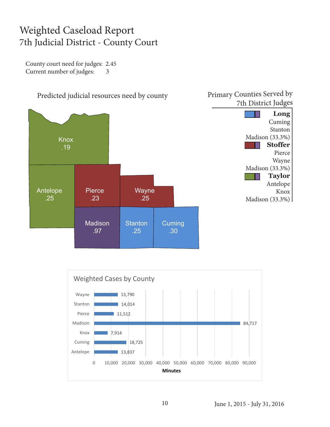#### Weighted Caseload Report 7th Judicial District - County Court

County court need for judges: 2.45 Current number of judges: 3



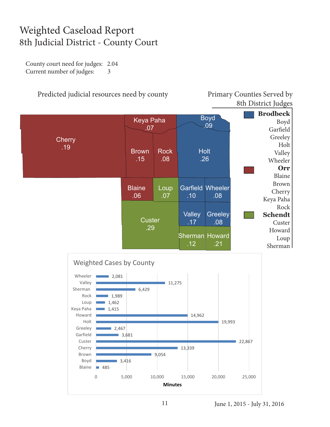#### Weighted Caseload Report 8th Judicial District - County Court

County court need for judges: 2.04 Current number of judges: 3

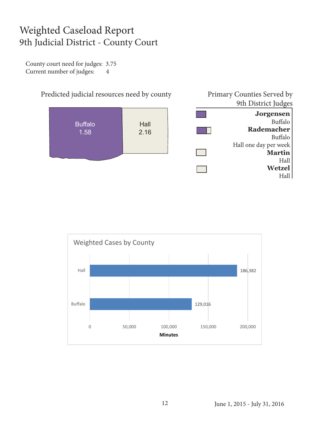#### Weighted Caseload Report 9th Judicial District - County Court

County court need for judges: 3.75 Current number of judges: 4



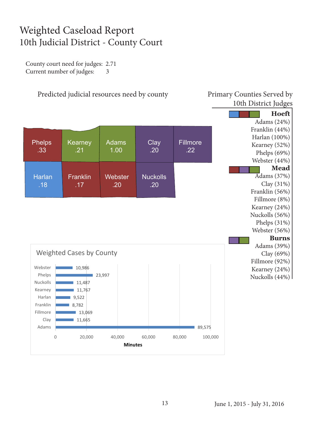#### Weighted Caseload Report 10th Judicial District - County Court

County court need for judges: 2.71 Current number of judges: 3

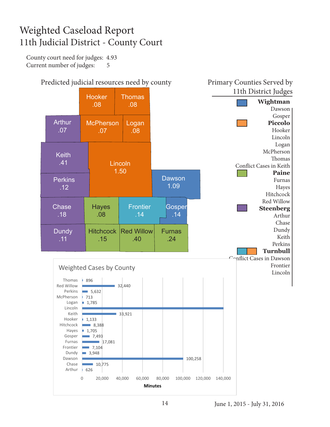#### Weighted Caseload Report 11th Judicial District - County Court

County court need for judges: 4.93 Current number of judges: 5